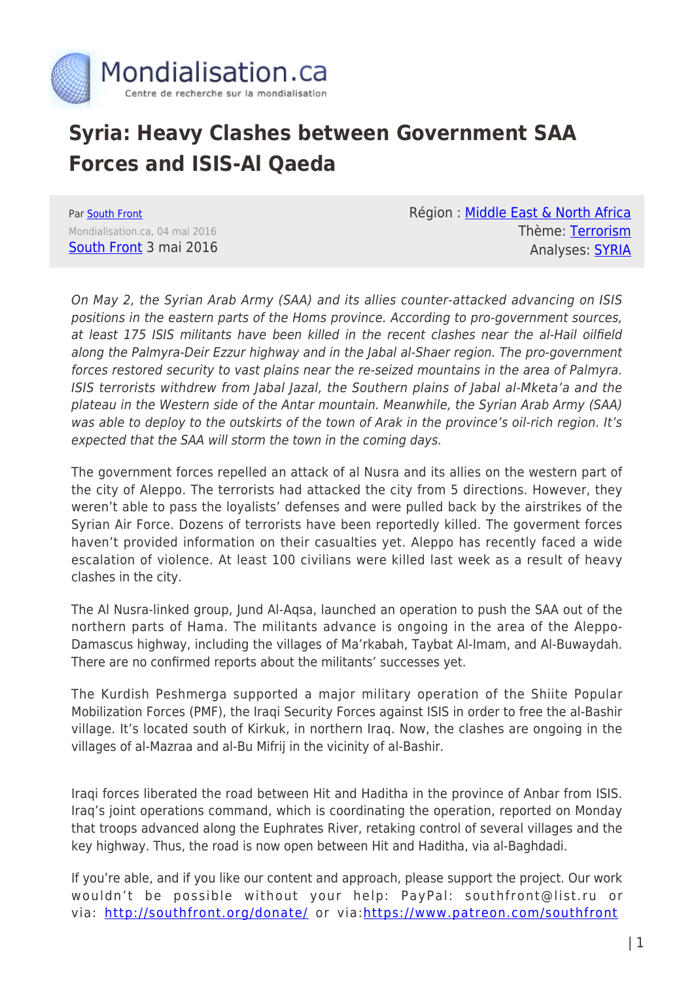

## **Syria: Heavy Clashes between Government SAA Forces and ISIS-Al Qaeda**

Par [South Front](https://www.mondialisation.ca/author/southfront) Mondialisation.ca, 04 mai 2016 [South Front](https://southfront.org/international-military-review-syria-iraq-may-3-2016/) 3 mai 2016 Région : [Middle East & North Africa](https://www.mondialisation.ca/region/middle-east) Thème: [Terrorism](https://www.mondialisation.ca/theme/9-11-war-on-terrorism) Analyses: [SYRIA](https://www.mondialisation.ca/indepthreport/syria-nato-s-next-war)

On May 2, the Syrian Arab Army (SAA) and its allies counter-attacked advancing on ISIS positions in the eastern parts of the Homs province. According to pro-government sources, at least 175 ISIS militants have been killed in the recent clashes near the al-Hail oilfield along the Palmyra-Deir Ezzur highway and in the Jabal al-Shaer region. The pro-government forces restored security to vast plains near the re-seized mountains in the area of Palmyra. ISIS terrorists withdrew from Jabal Jazal, the Southern plains of Jabal al-Mketa'a and the plateau in the Western side of the Antar mountain. Meanwhile, the Syrian Arab Army (SAA) was able to deploy to the outskirts of the town of Arak in the province's oil-rich region. It's expected that the SAA will storm the town in the coming days.

The government forces repelled an attack of al Nusra and its allies on the western part of the city of Aleppo. The terrorists had attacked the city from 5 directions. However, they weren't able to pass the loyalists' defenses and were pulled back by the airstrikes of the Syrian Air Force. Dozens of terrorists have been reportedly killed. The goverment forces haven't provided information on their casualties yet. Aleppo has recently faced a wide escalation of violence. At least 100 civilians were killed last week as a result of heavy clashes in the city.

The Al Nusra-linked group, Jund Al-Aqsa, launched an operation to push the SAA out of the northern parts of Hama. The militants advance is ongoing in the area of the Aleppo-Damascus highway, including the villages of Ma'rkabah, Taybat Al-Imam, and Al-Buwaydah. There are no confirmed reports about the militants' successes yet.

The Kurdish Peshmerga supported a major military operation of the Shiite Popular Mobilization Forces (PMF), the Iraqi Security Forces against ISIS in order to free the al-Bashir village. It's located south of Kirkuk, in northern Iraq. Now, the clashes are ongoing in the villages of al-Mazraa and al-Bu Mifrij in the vicinity of al-Bashir.

Iraqi forces liberated the road between Hit and Haditha in the province of Anbar from ISIS. Iraq's joint operations command, which is coordinating the operation, reported on Monday that troops advanced along the Euphrates River, retaking control of several villages and the key highway. Thus, the road is now open between Hit and Haditha, via al-Baghdadi.

If you're able, and if you like our content and approach, please support the project. Our work wouldn't be possible without your help: PayPal: southfront@list.ru or via:<http://southfront.org/donate/> or via:<https://www.patreon.com/southfront>